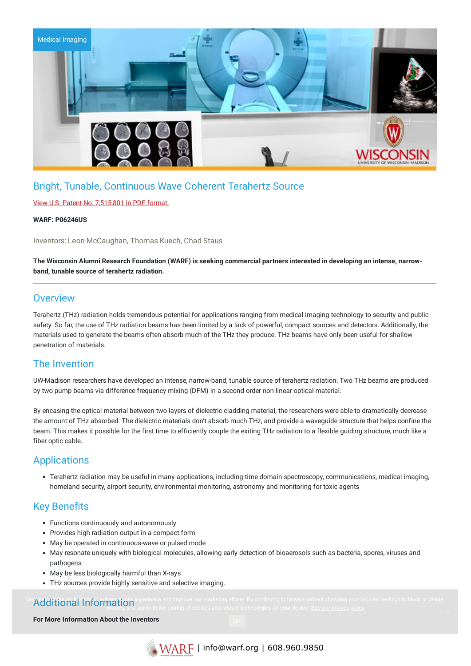

# Bright, Tunable, Continuous Wave Coherent Terahertz Source

#### View U.S. Patent No. [7,515,801](https://www.warf.org/wp-content/uploads/technologies/ipstatus/P06246US.PDF) in PDF format.

#### **WARF: P06246US**

Inventors: Leon McCaughan, Thomas Kuech, Chad Staus

The Wisconsin Alumni Research Foundation (WARF) is seeking commercial partners interested in developing an intense, narrow**band, tunable source of terahertz radiation.**

### **Overview**

Terahertz (THz) radiation holds tremendous potential for applications ranging from medical imaging technology to security and public safety. So far, the use of THz radiation beams has been limited by a lack of powerful, compact sources and detectors. Additionally, the materials used to generate the beams often absorb much of the THz they produce. THz beams have only been useful for shallow penetration of materials.

## The Invention

UW-Madison researchers have developed an intense, narrow-band, tunable source of terahertz radiation. Two THz beams are produced by two pump beams via difference frequency mixing (DFM) in a second order non-linear optical material.

By encasing the optical material between two layers of dielectric cladding material, the researchers were able to dramatically decrease the amount of THz absorbed. The dielectric materials don't absorb much THz, and provide a waveguide structure that helps confine the beam. This makes it possible for the first time to efficiently couple the exiting THz radiation to a flexible guiding structure, much like a fiber optic cable.

## Applications

Terahertz radiation may be useful in many applications, including time-domain spectroscopy, communications, medical imaging, homeland security, airport security, environmental monitoring, astronomy and monitoring for toxic agents

## Key Benefits

- Functions continuously and autonomously
- Provides high radiation output in a compact form
- May be operated in continuous-wave or pulsed mode
- May resonate uniquely with biological molecules, allowing early detection of bioaerosols such as bacteria, spores, viruses and pathogens
- May be less biologically harmful than X-rays
- THz sources provide highly sensitive and selective imaging.

#### We Additional Information experience and improve our marketing efforts. By continuing to browse without changing your browser settings to block or delete in the state of cookies and related to browser and relation see our cookies, you agree to the storing of cookies and related technologies on your device. <u>See our privacy policy</u>

**For More Information About the Inventors**